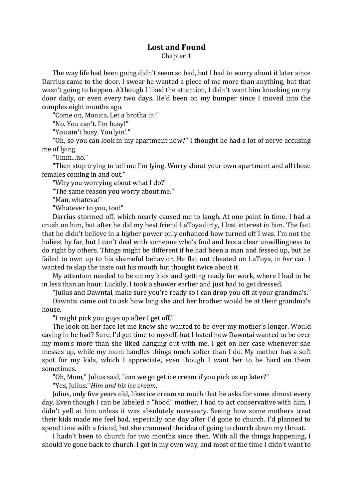## **Lost and Found**

Chapter 1

The way life had been going didn't seem so bad, but I had to worry about it later since Darrius came to the door. I swear he wanted a piece of me more than anything, but that wasn't going to happen. Although I liked the attention, I didn't want him knocking on my door daily, or even every two days. He'd been on my bumper since I moved into the complex eight months ago.

"Come on, Monica. Let a brotha in!"

"No. You can't. I'm busy!"

"Youain't busy. You lyin'."

"Oh, so you can look in my apartment now?" I thought he had a lot of nerve accusing me of lying.

"Umm...no."

"Then stop trying to tell me I'm lying. Worry about your own apartment and all those females coming in and out."

"Why you worrying about what I do?"

"The same reason you worry about me."

"Man, whateva!"

"Whatever to you, too!"

Darrius stormed off, which nearly caused me to laugh. At one point in time, I had a crush on him, but after he did my best friend LaToyadirty, I lost interest in him. The fact that he didn't believe in a higher power only enhanced how turned off I was. I'm not the holiest by far, but I can't deal with someone who's foul and has a clear unwillingness to do right by others. Things might be different if he had been a man and fessed up, but he failed to own up to his shameful behavior. He flat out cheated on LaToya, in *her* car. I wanted to slap the taste out his mouth but thought twice about it.

My attention needed to be on my kids and getting ready for work, where I had to be in less than an hour. Luckily, I took a shower earlier and just had to get dressed.

"Julius and Dawntai, make sure you're ready so I can drop you off at your grandma's."

Dawntai came out to ask how long she and her brother would be at their grandma's house.

"I might pick you guys up after I get off."

The look on her face let me know she wanted to be over my mother's longer. Would caving in be bad? Sure, I'd get time to myself, but I hated how Dawntai wanted to be over my mom's more than she liked hanging out with me. I get on her case whenever she messes up, while my mom handles things much softer than I do. My mother has a soft spot for my kids, which I appreciate, even though I want her to be hard on them sometimes.

"Oh, Mom," Julius said, "can we go get ice cream if you pick us up later?"

"Yes, Julius." *Him and his ice cream.* 

Julius, only five years old, likes ice cream so much that he asks for some almost every day. Even though I can be labeled a "hood" mother, I had to act conservative with him. I didn't yell at him unless it was absolutely necessary. Seeing how some mothers treat their kids made me feel bad, especially one day after I'd gone to church. I'd planned to spend time with a friend, but she crammed the idea of going to church down my throat.

I hadn't been to church for two months since then. With all the things happening, I should've gone back to church. I got in my own way, and most of the time I didn't want to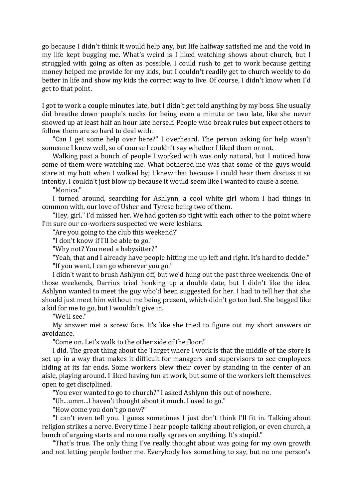go because I didn't think it would help any, but life halfway satisfied me and the void in my life kept bugging me. What's weird is I liked watching shows about church, but I struggled with going as often as possible. I could rush to get to work because getting money helped me provide for my kids, but I couldn't readily get to church weekly to do better in life and show my kids the correct way to live. Of course, I didn't know when I'd get to that point.

I got to work a couple minutes late, but I didn't get told anything by my boss. She usually did breathe down people's necks for being even a minute or two late, like she never showed up at least half an hour late herself. People who break rules but expect others to follow them are so hard to deal with.

"Can I get some help over here?" I overheard. The person asking for help wasn't someone I knew well, so of course I couldn't say whether I liked them or not.

Walking past a bunch of people I worked with was only natural, but I noticed how some of them were watching me. What bothered me was that some of the guys would stare at my butt when I walked by; I knew that because I could hear them discuss it so intently. I couldn't just blow up because it would seem like I wanted to cause a scene.

"Monica."

I turned around, searching for Ashlynn, a cool white girl whom I had things in common with, our love of Usher and Tyrese being two of them.

"Hey, girl." I'd missed her. We had gotten so tight with each other to the point where I'm sure our co-workers suspected we were lesbians.

"Are you going to the club this weekend?"

"I don't know if I'll be able to go."

"Why not? You need a babysitter?"

"Yeah, that and I already have people hitting me up left and right. It's hard to decide." "If you want, I can go wherever you go."

I didn't want to brush Ashlynn off, but we'd hung out the past three weekends. One of those weekends, Darrius tried hooking up a double date, but I didn't like the idea. Ashlynn wanted to meet the guy who'd been suggested for her. I had to tell her that she should just meet him without me being present, which didn't go too bad. She begged like a kid for me to go, but I wouldn't give in.

"We'll see."

My answer met a screw face. It's like she tried to figure out my short answers or avoidance.

"Come on. Let's walk to the other side of the floor."

I did. The great thing about the Target where I work is that the middle of the store is set up in a way that makes it difficult for managers and supervisors to see employees hiding at its far ends. Some workers blew their cover by standing in the center of an aisle, playing around. I liked having fun at work, but some of the workers left themselves open to get disciplined.

"You ever wanted to go to church?" I asked Ashlynn this out of nowhere.

"Uh...umm...I haven't thought about it much. I used to go."

"How come you don't go now?"

"I can't even tell you. I guess sometimes I just don't think I'll fit in. Talking about religion strikes a nerve. Every time I hear people talking about religion, or even church, a bunch of arguing starts and no one really agrees on anything. It's stupid."

"That's true. The only thing I've really thought about was going for my own growth and not letting people bother me. Everybody has something to say, but no one person's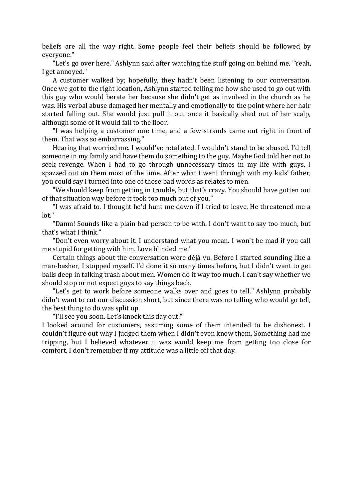beliefs are all the way right. Some people feel their beliefs should be followed by everyone."

"Let's go over here," Ashlynn said after watching the stuff going on behind me. "Yeah, I get annoyed."

A customer walked by; hopefully, they hadn't been listening to our conversation. Once we got to the right location, Ashlynn started telling me how she used to go out with this guy who would berate her because she didn't get as involved in the church as he was. His verbal abuse damaged her mentally and emotionally to the point where her hair started falling out. She would just pull it out once it basically shed out of her scalp, although some of it would fall to the floor.

"I was helping a customer one time, and a few strands came out right in front of them. That was so embarrassing."

Hearing that worried me. I would've retaliated. I wouldn't stand to be abused. I'd tell someone in my family and have them do something to the guy. Maybe God told her not to seek revenge. When I had to go through unnecessary times in my life with guys, I spazzed out on them most of the time. After what I went through with my kids' father, you could say I turned into one of those bad words as relates to men.

"We should keep from getting in trouble, but that's crazy. You should have gotten out of that situation way before it took too much out of you."

"I was afraid to. I thought he'd hunt me down if I tried to leave. He threatened me a lot."

"Damn! Sounds like a plain bad person to be with. I don't want to say too much, but that's what I think."

"Don't even worry about it. I understand what you mean. I won't be mad if you call me stupid for getting with him. Love blinded me."

Certain things about the conversation were déjà vu. Before I started sounding like a man-basher, I stopped myself. I'd done it so many times before, but I didn't want to get balls deep in talking trash about men. Women do it way too much. I can't say whether we should stop or not expect guys to say things back.

"Let's get to work before someone walks over and goes to tell." Ashlynn probably didn't want to cut our discussion short, but since there was no telling who would go tell, the best thing to do was split up.

"I'll see you soon. Let's knock this day out."

I looked around for customers, assuming some of them intended to be dishonest. I couldn't figure out why I judged them when I didn't even know them. Something had me tripping, but I believed whatever it was would keep me from getting too close for comfort. I don't remember if my attitude was a little off that day.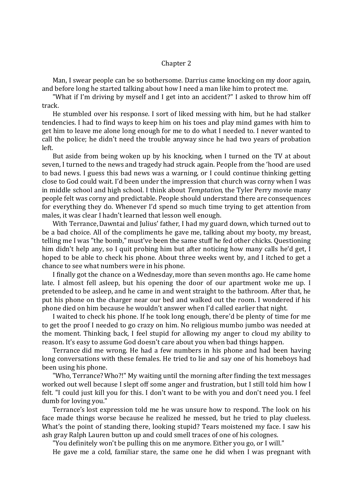## Chapter 2

Man, I swear people can be so bothersome. Darrius came knocking on my door again, and before long he started talking about how I need a man like him to protect me.

"What if I'm driving by myself and I get into an accident?" I asked to throw him off track.

He stumbled over his response. I sort of liked messing with him, but he had stalker tendencies. I had to find ways to keep him on his toes and play mind games with him to get him to leave me alone long enough for me to do what I needed to. I never wanted to call the police; he didn't need the trouble anyway since he had two years of probation left.

But aside from being woken up by his knocking, when I turned on the TV at about seven, I turned to the news and tragedy had struck again. People from the 'hood are used to bad news. I guess this bad news was a warning, or I could continue thinking getting close to God could wait. I'd been under the impression that church was corny when I was in middle school and high school. I think about *Temptation*, the Tyler Perry movie many people felt was corny and predictable. People should understand there are consequences for everything they do. Whenever I'd spend so much time trying to get attention from males, it was clear I hadn't learned that lesson well enough.

With Terrance,Dawntai and Julius' father, I had my guard down, which turned out to be a bad choice. All of the compliments he gave me, talking about my booty, my breast, telling me I was "the bomb," must've been the same stuff he fed other chicks. Questioning him didn't help any, so I quit probing him but after noticing how many calls he'd get, I hoped to be able to check his phone. About three weeks went by, and I itched to get a chance to see what numbers were in his phone.

I finally got the chance on a Wednesday, more than seven months ago. He came home late. I almost fell asleep, but his opening the door of our apartment woke me up. I pretended to be asleep, and he came in and went straight to the bathroom. After that, he put his phone on the charger near our bed and walked out the room. I wondered if his phone died on him because he wouldn't answer when I'd called earlier that night.

I waited to check his phone. If he took long enough, there'd be plenty of time for me to get the proof I needed to go crazy on him. No religious mumbo jumbo was needed at the moment. Thinking back, I feel stupid for allowing my anger to cloud my ability to reason. It's easy to assume God doesn't care about you when bad things happen.

Terrance did me wrong. He had a few numbers in his phone and had been having long conversations with these females. He tried to lie and say one of his homeboys had been using his phone.

"Who, Terrance?Who?!" My waiting until the morning after finding the text messages worked out well because I slept off some anger and frustration, but I still told him how I felt. "I could just kill you for this. I don't want to be with you and don't need you. I feel dumb for loving you."

Terrance's lost expression told me he was unsure how to respond. The look on his face made things worse because he realized he messed, but he tried to play clueless. What's the point of standing there, looking stupid? Tears moistened my face. I saw his ash gray Ralph Lauren button up and could smell traces of one of his colognes.

"You definitely won't be pulling this on me anymore. Either you go, or I will."

He gave me a cold, familiar stare, the same one he did when I was pregnant with